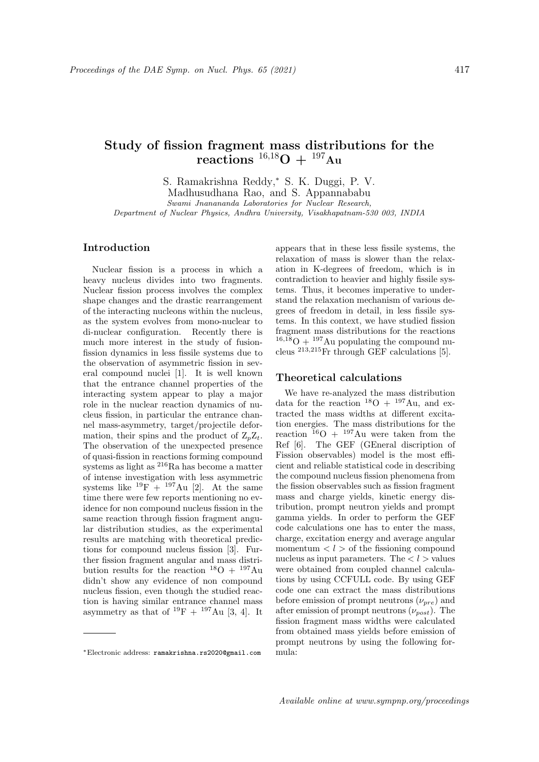# Study of fission fragment mass distributions for the  $\rm\, reactions\,\, {\rm^{16,18}O\,+\, {^{197}Au}}$

S. Ramakrishna Reddy,<sup>∗</sup> S. K. Duggi, P. V. Madhusudhana Rao, and S. Appannababu Swami Jnanananda Laboratories for Nuclear Research, Department of Nuclear Physics, Andhra University, Visakhapatnam-530 003, INDIA

# Introduction

Nuclear fission is a process in which a heavy nucleus divides into two fragments. Nuclear fission process involves the complex shape changes and the drastic rearrangement of the interacting nucleons within the nucleus, as the system evolves from mono-nuclear to di-nuclear configuration. Recently there is much more interest in the study of fusionfission dynamics in less fissile systems due to the observation of asymmetric fission in several compound nuclei [1]. It is well known that the entrance channel properties of the interacting system appear to play a major role in the nuclear reaction dynamics of nucleus fission, in particular the entrance channel mass-asymmetry, target/projectile deformation, their spins and the product of  $Z_pZ_t$ . The observation of the unexpected presence of quasi-fission in reactions forming compound systems as light as <sup>216</sup>Ra has become a matter of intense investigation with less asymmetric systems like  $^{19}F + ^{197}Au$  [2]. At the same time there were few reports mentioning no evidence for non compound nucleus fission in the same reaction through fission fragment angular distribution studies, as the experimental results are matching with theoretical predictions for compound nucleus fission [3]. Further fission fragment angular and mass distribution results for the reaction  $^{18}O + ^{197}Au$ didn't show any evidence of non compound nucleus fission, even though the studied reaction is having similar entrance channel mass asymmetry as that of  $^{19}F + ^{197}Au$  [3, 4]. It

appears that in these less fissile systems, the relaxation of mass is slower than the relaxation in K-degrees of freedom, which is in contradiction to heavier and highly fissile systems. Thus, it becomes imperative to understand the relaxation mechanism of various degrees of freedom in detail, in less fissile systems. In this context, we have studied fission fragment mass distributions for the reactions  $16,\overline{18}O + 197$  Au populating the compound nucleus  $^{213,215}$ Fr through GEF calculations [5].

#### Theoretical calculations

We have re-analyzed the mass distribution data for the reaction  $^{18}O + ^{197}Au$ , and extracted the mass widths at different excitation energies. The mass distributions for the reaction  $16$ O +  $197$ Au were taken from the Ref [6]. The GEF (GEneral discription of Fission observables) model is the most efficient and reliable statistical code in describing the compound nucleus fission phenomena from the fission observables such as fission fragment mass and charge yields, kinetic energy distribution, prompt neutron yields and prompt gamma yields. In order to perform the GEF code calculations one has to enter the mass, charge, excitation energy and average angular momentum  $\langle l \rangle$  of the fissioning compound nucleus as input parameters. The  $l >$  values were obtained from coupled channel calculations by using CCFULL code. By using GEF code one can extract the mass distributions before emission of prompt neutrons  $(\nu_{pre})$  and after emission of prompt neutrons  $(\nu_{nost})$ . The fission fragment mass widths were calculated from obtained mass yields before emission of prompt neutrons by using the following formula:

<sup>∗</sup>Electronic address: ramakrishna.rs2020@gmail.com